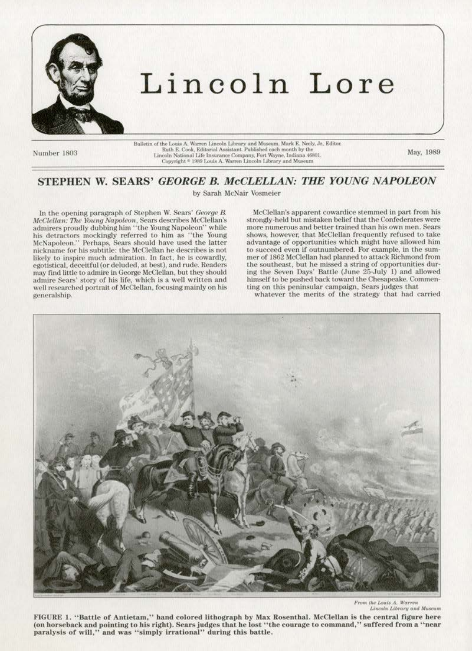

# Lincoln Lore

Number 1803

 $\label{thm:main}$  Bulletin of the Louis A. Warren Lincoln Library and Museum. Mark E. Neely, Jr., Editor. Ruth E. Cook, Editorial Assistant. Published each month by the Lincoln National Life Insurance Company, Fort Wayne, Indian

May. 1989

# STEPHEN W. SEARS' GEORGE B. McCLELLAN: THE YOUNG NAPOLEON

by Sarah McNair Vosmeier

In the opening paragraph of Stephen W. Sears' George B. McClellan: The Young Napoleon, Sears describes McClellan's admirers proudly dubbing him "the Young Napoleon" while his detractors mockingly referred to him as "the Young McNapoleon." Perhaps, Sears should have used the latter nickname for his subtitle: the McClellan he describes is not likely to inspire much admiration. In fact, he is cowardly, egotistical, deceitful (or deluded, at best), and rude. Readers may find little to admire in George McClellan, but they should admire Sears' story of his life, which is a well written and well researched portrait of McClellan, focusing mainly on his generalship.

McClellan's apparent cowardice stemmed in part from his strongly-held but mistaken belief that the Confederates were more numerous and better trained than his own men. Sears shows, however, that McClellan frequently refused to take advantage of opportunities which might have allowed him to succeed even if outnumbered. For example, in the summer of 1862 McClellan had planned to attack Richmond from the southeast, but he missed a string of opportunities during the Seven Days' Battle (June 25-July 1) and allowed himself to be pushed back toward the Chesapeake. Commenting on this peninsular campaign, Sears judges that

whatever the merits of the strategy that had carried



From the Louis A. Warren<br>Lincoln Library and Museum

FIGURE 1. "Battle of Antietam," hand colored lithograph by Max Rosenthal. McClellan is the central figure here (on horseback and pointing to his right). Sears judges that he lost "the courage to command," suffered from a "near paralysis of will," and was "simply irrational" during this battle.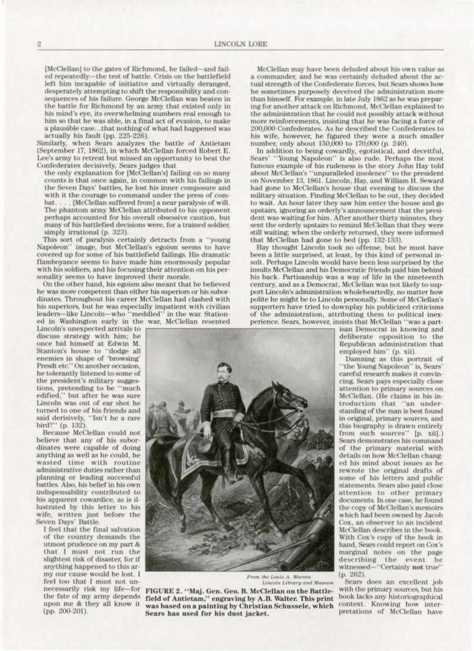[McClellan] to the gates of Richmond, he failed-and failed repeatedly-the test of battle. Crisis on the battlefield left him incapable of initiative and virtually deranged, desperately attempting to shift the responsibility and consequences of his failure. George McClellan was beaten in the battle for Richmond by an army that existed only in his mind's eye, its overwhelming numbers real enough to him so that he was able, in a final act of evasion, to make a plausible case...that nothing of what had happened was actually his fault (pp. 225-226).

Similarly, when Sears analyzes the battle of Antietam (September 17, 1862), in which McClellan forced Robert E. Lee's army to retreat but missed an opportunity to beat the Confederates decisively, Sears judges that

the only explanation for [McClellan's] failing on so many counts is that once again, in common with his failings in the Seven Days' battles, he lost his inner composure and with it the courage to command under the press of combat. . . . [McClellan suffered from] a near paralysis of will. The phantom army McClellan attributed to his opponent perhaps accounted for his overall obsessive caution, but many of his battlefied decisions were, for a trained soldier, simply irrational (p. 323).

This sort of paralysis certainly detracts from a "young Napoleon" image, but McClellan's egoism seems to have covered up for some of his battlefield failings. His dramatic flamboyance seems to have made him enormously popular with his soldiers, and his focusing their attention on his personality seems to have improved their morale.

On the other hand, his egoism also meant that he believed he was more competent than either his superiors or his subordinates. Throughout his career McClellan had clashed with his superiors, but he was especially impatient with civilian leaders-like Lincoln-who "meddled" in the war. Stationed in Washington early in the war, McClellan resented

Lincoln's unexpected arrivals to discuss strategy with him; he once hid himself at Edwin M.<br>Stanton's house to "dodge all enemies in shape of "browsing" Presdt etc." On another occasion, he tolerantly listened to some of the president's military suggestions, pretending to be "much edified," but after he was sure Lincoln was out of ear shot he turned to one of his friends and said derisively, "Isn't he a rare bird?" (p. 132).

Because McClellan could not believe that any of his subordinates were capable of doing anything as well as he could, he wasted time with routine administrative duties rather than planning or leading successful battles. Also, his belief in his own indispensability contributed to his apparent cowardice, as is illustrated by this letter to his wife, written just before the Seven Days' Battle.

I feel that the final salvation of the country demands the utmost prudence on my part & that I must not run the slightest risk of disaster, for if anything happened to this army our cause would be lost. I feel too that I must not unnecessarily risk my life-for the fate of my army depends upon me & they all know it (pp. 200-201).

McClellan may have been deluded about his own value as a commander, and he was certainly deluded about the actual strength of the Confederate forces, but Sears shows how he sometimes purposely deceived the administration more than himself. For example, in late July 1862 as he was preparing for another attack on Richmond, McClellan explained to the administration that he could not possibly attack without more reinforcements, insisting that he was facing a force of 200,000 Confederates. As he described the Confederates to his wife, however, he figured they were a much smaller number, only about 150,000 to 170,000 (p. 240).

In addition to being cowardly, egotistical, and deceitful, Sears' "Young Napoleon" is also rude. Perhaps the most famous example of his rudeness is the story John Hay told about McClellan's "unparalleled insolence" to the president on November 13, 1861. Lincoln, Hay, and William H. Seward had gone to McClellan's house that evening to discuss the military situation. Finding McClellan to be out, they decided to wait. An hour later they saw him enter the house and go upstairs, ignoring an orderly's announcement that the president was waiting for him. After another thirty minutes, they sent the orderly upstairs to remind McClellan that they were still waiting; when the orderly returned, they were informed that McClellan had gone to bed (pp. 132-133).

Hay thought Lincoln took no offense, but he must have been a little surprised, at least, by this kind of personal insult. Perhaps Lincoln would have been less surprised by the insults McClellan and his Democratic friends paid him behind his back. Partisanship was a way of life in the nineteenth century, and as a Democrat, McClellan was not likely to support Lincoln's administration wholeheartedly, no matter how polite he might be to Lincoln personally. Some of McClellan's supporters have tried to downplay his publicized criticisms of the administration, attributing them to political inexperience. Sears, however, insists that McClellan "was a part-

isan Democrat in knowing and deliberate opposition to the Republican administration that employed him" (p. xii).<br>Damning as this portrait of

"the Young Napoleon" is, Sears' careful research makes it convincing. Sears pays especially close attention to primary sources on McClellan. (He claims in his introduction that "an understanding of the man is best found in original, primary sources, and this biography is drawn entirely from such sources" [p. xii].) Sears demonstrates his command of the primary material with details on how McClellan changed his mind about issues as he rewrote the original drafts of some of his letters and public statements. Sears also paid close attention to other primary documents. In one case, he found the copy of McClellan's memoirs which had been owned by Jacob Cox, an observer to an incident McClellan describes in the book. With Cox's copy of the book in hand, Sears could report on Cox's marginal notes on the page describing the event he<br>witnessed-"Certainly not true" (p. 262).

Sears does an excellent job with the primary sources, but his book lacks any historiographical context. Knowing how interpretations of McClellan have



Lincoln Library and Museu

FIGURE 2. "Maj. Gen. Geo. B. McClellan on the Battlefield of Antietam," engraving by A.B. Walter. This print was based on a painting by Christian Schussele, which Sears has used for his dust jacket.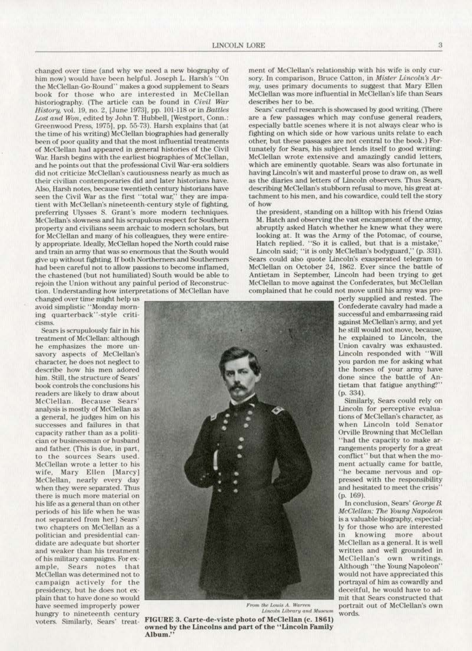changed over time (and why we need a new biography of him now) would have been helpful. Joseph L. Harsh's "On the McClellan-Go-Round" makes a good supplement to Sears book for those who are interested in McClellan historiography. (The article can be found in Civil War History, vol. 19, no. 2, [June 1973], pp. 101-118 or in Battles Lost and Won, edited by John T. Hubbell, [Westport, Conn.: Greenwood Press, 1975], pp. 55-73). Harsh explains that (at the time of his writing) McClellan biographies had generally been of poor quality and that the most influential treatments of McClellan had appeared in general histories of the Civil War. Harsh begins with the earliest biographies of McClellan, and he points out that the professional Civil War-era soldiers did not criticize McClellan's cautiousness nearly as much as their civilian contemporaries did and later historians have. Also, Harsh notes, because twentieth century historians have seen the Civil War as the first "total war," they are impatient with McClellan's nineteenth-century style of fighting. preferring Ulysses S. Grant's more modern techniques. McClellan's slowness and his scrupulous respect for Southern property and civilians seem archaic to modern scholars, but for McClellan and many of his colleagues, they were entirely appropriate. Ideally, McClellan hoped the North could raise and train an army that was so enormous that the South would give up without fighting. If both Northerners and Southerners had been careful not to allow passions to become inflamed. the chastened (but not humiliated) South would be able to rejoin the Union without any painful period of Reconstruction. Understanding how interpretations of McClellan have

changed over time might help us avoid simplistic "Monday morning quarterback"-style criticisms.

Sears is scrupulously fair in his treatment of McClellan: although he emphasizes the more unsavory aspects of McClellan's character, he does not neglect to describe how his men adored him. Still, the structure of Sears' book controls the conclusions his readers are likely to draw about McClellan. Because Sears' analysis is mostly of McClellan as a general, he judges him on his successes and failures in that capacity rather than as a politician or businessman or husband and father. (This is due, in part, to the sources Sears used. McClellan wrote a letter to his wife, Mary Ellen [Marcy] McClellan, nearly every day when they were separated. Thus there is much more material on his life as a general than on other periods of his life when he was not separated from her.) Sears' two chapters on McClellan as a politician and presidential candidate are adequate but shorter and weaker than his treatment of his military campaigns. For example, Sears notes that McClellan was determined not to campaign actively for the presidency, but he does not explain that to have done so would have seemed improperly power hungry to nineteenth century voters. Similarly, Sears' treatment of McClellan's relationship with his wife is only cursory. In comparison, Bruce Catton, in Mister Lincoln's Army, uses primary documents to suggest that Mary Ellen McClellan was more influential in McClellan's life than Sears describes her to be.

Sears' careful research is showcased by good writing. (There are a few passages which may confuse general readers, especially battle scenes where it is not always clear who is fighting on which side or how various units relate to each other, but these passages are not central to the book.) Fortunately for Sears, his subject lends itself to good writing: McClellan wrote extensive and amazingly candid letters, which are eminently quotable. Sears was also fortunate in having Lincoln's wit and masterful prose to draw on, as well as the diaries and letters of Lincoln observers. Thus Sears, describing McClellan's stubborn refusal to move, his great attachment to his men, and his cowardice, could tell the story of how

the president, standing on a hilltop with his friend Ozias M. Hatch and observing the vast encampment of the army. abruptly asked Hatch whether he knew what they were looking at. It was the Army of the Potomac, of course, Hatch replied. "So it is called, but that is a mistake," Lincoln said; "it is only McClellan's bodyguard," (p. 331). Sears could also quote Lincoln's exasperated telegram to McClellan on October 24, 1862. Ever since the battle of Antietam in September, Lincoln had been trying to get McClellan to move against the Confederates, but McClellan complained that he could not move until his army was pro-

perly supplied and rested. The Confederate cavalry had made a successful and embarrassing raid against McClellan's army, and yet he still would not move, because, he explained to Lincoln, the Union cavalry was exhausted. Lincoln responded with "Will you pardon me for asking what the horses of your army have done since the battle of Antietam that fatigue anything?" (p. 334).

Similarly, Sears could rely on Lincoln for perceptive evaluations of McClellan's character, as when Lincoln told Senator Orville Browning that McClellan "had the capacity to make arrangements properly for a great conflict" but that when the moment actually came for battle, "he became nervous and oppressed with the responsibility and hesitated to meet the crisis" (p. 169).

In conclusion, Sears' George B. McClellan: The Young Napoleon is a valuable biography, especially for those who are interested knowing more about in. McClellan as a general. It is well written and well grounded in McClellan's own writings. Although "the Young Napoleon" would not have appreciated this portraval of him as cowardly and deceitful, he would have to admit that Sears constructed that portrait out of McClellan's own words.

From the Louis A. Warren Lincoln Library and Museum

FIGURE 3. Carte-de-viste photo of McClellan (c. 1861) owned by the Lincolns and part of the "Lincoln Family Album."